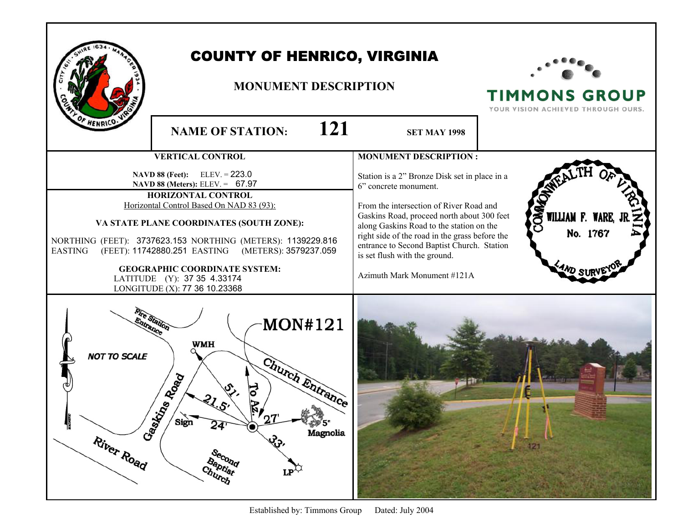|                                                               | <b>COUNTY OF HENRICO, VIRGINIA</b><br><b>MONUMENT DESCRIPTION</b>                                                                                                                                                                                                                                                                                                                                                    |                                                                                                                                                                                                                                                                                                                                                                             | <b>TIMMONS GROUP</b><br>YOUR VISION ACHIEVED THROUGH OURS. |
|---------------------------------------------------------------|----------------------------------------------------------------------------------------------------------------------------------------------------------------------------------------------------------------------------------------------------------------------------------------------------------------------------------------------------------------------------------------------------------------------|-----------------------------------------------------------------------------------------------------------------------------------------------------------------------------------------------------------------------------------------------------------------------------------------------------------------------------------------------------------------------------|------------------------------------------------------------|
| F HENRICO:                                                    | 121<br><b>NAME OF STATION:</b>                                                                                                                                                                                                                                                                                                                                                                                       | <b>SET MAY 1998</b>                                                                                                                                                                                                                                                                                                                                                         |                                                            |
|                                                               | <b>VERTICAL CONTROL</b>                                                                                                                                                                                                                                                                                                                                                                                              | <b>MONUMENT DESCRIPTION:</b>                                                                                                                                                                                                                                                                                                                                                |                                                            |
| <b>EASTING</b>                                                | <b>NAVD 88 (Feet):</b> ELEV. = $223.0$<br>NAVD 88 (Meters): ELEV. = 67.97<br>HORIZONTAL CONTROL<br>Horizontal Control Based On NAD 83 (93):<br>VA STATE PLANE COORDINATES (SOUTH ZONE):<br>NORTHING (FEET): 3737623.153 NORTHING (METERS): 1139229.816<br>(FEET): 11742880.251 EASTING (METERS): 3579237.059<br><b>GEOGRAPHIC COORDINATE SYSTEM:</b><br>LATITUDE (Y): 37 35 4.33174<br>LONGITUDE (X): 77 36 10.23368 | Station is a 2" Bronze Disk set in place in a<br>6" concrete monument.<br>From the intersection of River Road and<br>Gaskins Road, proceed north about 300 feet<br>along Gaskins Road to the station on the<br>right side of the road in the grass before the<br>entrance to Second Baptist Church. Station<br>is set flush with the ground.<br>Azimuth Mark Monument #121A | 20M<br>WILLIAM F. WARE,<br>No. 1767                        |
| <b>NOT TO SCALE</b><br>Gastrin<br><b>MAGNET</b><br>River Road | MON#121<br><b>Tance</b><br><b>WMH</b><br>Church Entrance<br>ns Road<br>$r_{27}$<br>Sign<br>24'<br>Magnolia<br>$\mathfrak{G}$<br>Second<br>Baptist<br>Church<br>$LP^{\wedge}$                                                                                                                                                                                                                                         |                                                                                                                                                                                                                                                                                                                                                                             | 121                                                        |

Established by: Timmons Group Dated: July 2004

a,